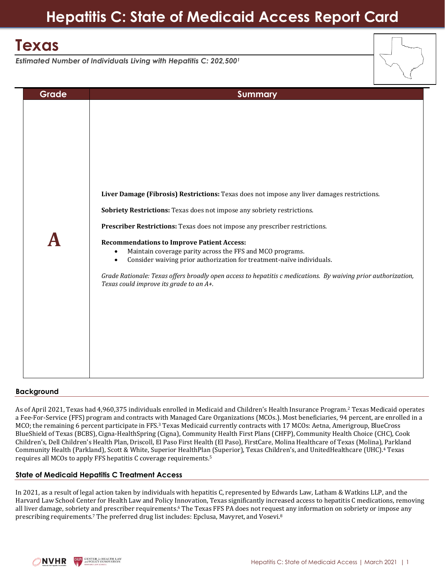# **Hepatitis C: State of Medicaid Access Report Card**

## **Texas**

*Estimated Number of Individuals Living with Hepatitis C: 202,500<sup>1</sup>*

| Grade | <b>Summary</b>                                                                                                                                                                                       |  |
|-------|------------------------------------------------------------------------------------------------------------------------------------------------------------------------------------------------------|--|
|       |                                                                                                                                                                                                      |  |
|       | Liver Damage (Fibrosis) Restrictions: Texas does not impose any liver damages restrictions.                                                                                                          |  |
|       | Sobriety Restrictions: Texas does not impose any sobriety restrictions.                                                                                                                              |  |
|       | Prescriber Restrictions: Texas does not impose any prescriber restrictions.                                                                                                                          |  |
|       | <b>Recommendations to Improve Patient Access:</b><br>Maintain coverage parity across the FFS and MCO programs.<br>Consider waiving prior authorization for treatment-naïve individuals.<br>$\bullet$ |  |
|       | Grade Rationale: Texas offers broadly open access to hepatitis c medications. By waiving prior authorization,<br>Texas could improve its grade to an A+.                                             |  |
|       |                                                                                                                                                                                                      |  |
|       |                                                                                                                                                                                                      |  |
|       |                                                                                                                                                                                                      |  |

## **Background**

As of April 2021, Texas had 4,960,375 individuals enrolled in Medicaid and Children's Health Insurance Program.<sup>2</sup> Texas Medicaid operates a Fee-For-Service (FFS) program and contracts with Managed Care Organizations (MCOs.). Most beneficiaries, 94 percent, are enrolled in a MCO; the remaining 6 percent participate in FFS.<sup>3</sup> Texas Medicaid currently contracts with 17 MCOs: Aetna, Amerigroup, BlueCross BlueShield of Texas (BCBS), Cigna-HealthSpring (Cigna), Community Health First Plans (CHFP), Community Health Choice (CHC), Cook Children's, Dell Children's Health Plan, Driscoll, El Paso First Health (El Paso), FirstCare, Molina Healthcare of Texas (Molina), Parkland Community Health (Parkland), Scott & White, Superior HealthPlan (Superior), Texas Children's, and UnitedHealthcare (UHC). <sup>4</sup> Texas requires all MCOs to apply FFS hepatitis C coverage requirements.<sup>5</sup>

## **State of Medicaid Hepatitis C Treatment Access**

In 2021, as a result of legal action taken by individuals with hepatitis C, represented by Edwards Law, Latham & Watkins LLP, and the Harvard Law School Center for Health Law and Policy Innovation, Texas significantly increased access to hepatitis C medications, removing all liver damage, sobriety and prescriber requirements. <sup>6</sup> The Texas FFS PA does not request any information on sobriety or impose any prescribing requirements.<sup>7</sup> The preferred drug list includes: Epclusa, Mavyret, and Vosevi.<sup>8</sup>